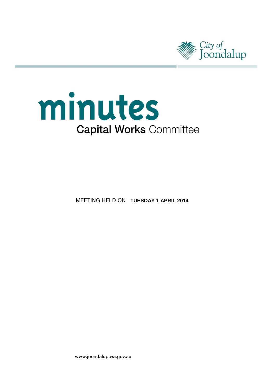



**MEETING HELD ON TUESDAY 1 APRIL 2014** 

www.joondalup.wa.gov.au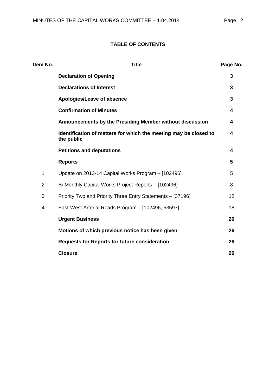## **TABLE OF CONTENTS**

| Item No.       | <b>Title</b>                                                                   | Page No. |
|----------------|--------------------------------------------------------------------------------|----------|
|                | <b>Declaration of Opening</b>                                                  | 3        |
|                | <b>Declarations of Interest</b>                                                | 3        |
|                | Apologies/Leave of absence                                                     | 3        |
|                | <b>Confirmation of Minutes</b>                                                 | 4        |
|                | Announcements by the Presiding Member without discussion                       | 4        |
|                | Identification of matters for which the meeting may be closed to<br>the public | 4        |
|                | <b>Petitions and deputations</b>                                               | 4        |
|                | <b>Reports</b>                                                                 | 5        |
| 1              | Update on 2013-14 Capital Works Program - [102496]                             | 5        |
| $\overline{2}$ | Bi-Monthly Capital Works Project Reports - [102496]                            | 8        |
| 3              | Priority Two and Priority Three Entry Statements - [37196]                     | 12       |
| 4              | East-West Arterial Roads Program - [102496, 53597]                             | 18       |
|                | <b>Urgent Business</b>                                                         | 26       |
|                | Motions of which previous notice has been given                                | 26       |
|                | <b>Requests for Reports for future consideration</b>                           | 26       |
|                | <b>Closure</b>                                                                 | 26       |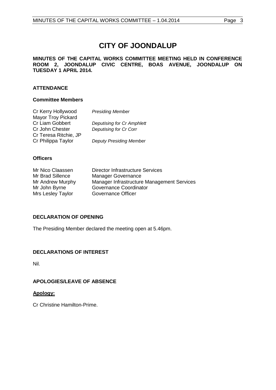# **CITY OF JOONDALUP**

#### **MINUTES OF THE CAPITAL WORKS COMMITTEE MEETING HELD IN CONFERENCE ROOM 2, JOONDALUP CIVIC CENTRE, BOAS AVENUE, JOONDALUP ON TUESDAY 1 APRIL 2014.**

## **ATTENDANCE**

## **Committee Members**

| Cr Kerry Hollywood    | <b>Presiding Member</b>           |
|-----------------------|-----------------------------------|
| Mayor Troy Pickard    |                                   |
| Cr Liam Gobbert       | <b>Deputising for Cr Amphlett</b> |
| Cr John Chester       | Deputising for Cr Corr            |
| Cr Teresa Ritchie, JP |                                   |
| Cr Philippa Taylor    | <b>Deputy Presiding Member</b>    |
|                       |                                   |

## **Officers**

| Mr Nico Claassen  | <b>Director Infrastructure Services</b>    |
|-------------------|--------------------------------------------|
| Mr Brad Sillence  | <b>Manager Governance</b>                  |
| Mr Andrew Murphy  | Manager Infrastructure Management Services |
| Mr John Byrne     | Governance Coordinator                     |
| Mrs Lesley Taylor | Governance Officer                         |

## <span id="page-2-0"></span>**DECLARATION OF OPENING**

The Presiding Member declared the meeting open at 5.46pm.

## <span id="page-2-1"></span>**DECLARATIONS OF INTEREST**

Nil.

## <span id="page-2-2"></span>**APOLOGIES/LEAVE OF ABSENCE**

## **Apology:**

Cr Christine Hamilton-Prime.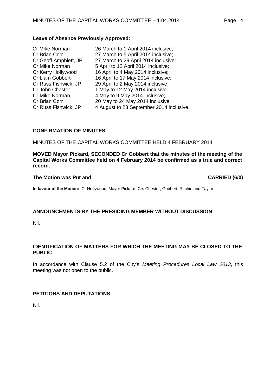## **Leave of Absence Previously Approved:**

| Cr Mike Norman         | 26 March to 1 April 2014 inclusive;      |
|------------------------|------------------------------------------|
| Cr Brian Corr          | 27 March to 5 April 2014 inclusive;      |
| Cr Geoff Amphlett, JP  | 27 March to 29 April 2014 inclusive;     |
| Cr Mike Norman         | 5 April to 12 April 2014 inclusive;      |
| Cr Kerry Hollywood     | 16 April to 4 May 2014 inclusive;        |
| <b>Cr Liam Gobbert</b> | 16 April to 17 May 2014 inclusive;       |
| Cr Russ Fishwick, JP   | 29 April to 2 May 2014 inclusive;        |
| Cr John Chester        | 1 May to 12 May 2014 inclusive.          |
| Cr Mike Norman         | 4 May to 9 May 2014 inclusive;           |
| Cr Brian Corr          | 20 May to 24 May 2014 inclusive;         |
| Cr Russ Fishwick, JP   | 4 August to 23 September 2014 inclusive. |
|                        |                                          |

## <span id="page-3-0"></span>**CONFIRMATION OF MINUTES**

## MINUTES OF THE CAPITAL WORKS COMMITTEE HELD 4 FEBRUARY 2014

**MOVED Mayor Pickard, SECONDED Cr Gobbert that the minutes of the meeting of the Capital Works Committee held on 4 February 2014 be confirmed as a true and correct record.**

#### **The Motion was Put and CARRIED (6/0)**

**In favour of the Motion:** Cr Hollywood, Mayor Pickard, Crs Chester, Gobbert, Ritchie and Taylor.

## <span id="page-3-1"></span>**ANNOUNCEMENTS BY THE PRESIDING MEMBER WITHOUT DISCUSSION**

Nil.

## <span id="page-3-2"></span>**IDENTIFICATION OF MATTERS FOR WHICH THE MEETING MAY BE CLOSED TO THE PUBLIC**

In accordance with Clause 5.2 of the City's *Meeting Procedures Local Law 2013*, this meeting was not open to the public.

## <span id="page-3-3"></span>**PETITIONS AND DEPUTATIONS**

Nil.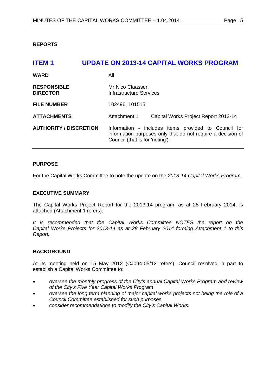<span id="page-4-0"></span>**REPORTS**

<span id="page-4-1"></span>

| <b>ITEM1</b>                          | <b>UPDATE ON 2013-14 CAPITAL WORKS PROGRAM</b>                                                                                                         |
|---------------------------------------|--------------------------------------------------------------------------------------------------------------------------------------------------------|
| <b>WARD</b>                           | All                                                                                                                                                    |
| <b>RESPONSIBLE</b><br><b>DIRECTOR</b> | Mr Nico Claassen<br>Infrastructure Services                                                                                                            |
| <b>FILE NUMBER</b>                    | 102496, 101515                                                                                                                                         |
| <b>ATTACHMENTS</b>                    | Attachment 1<br>Capital Works Project Report 2013-14                                                                                                   |
| <b>AUTHORITY / DISCRETION</b>         | Information - includes items provided to Council for<br>information purposes only that do not require a decision of<br>Council (that is for 'noting'). |

## **PURPOSE**

For the Capital Works Committee to note the update on the *2013-14 Capital Works Program*.

## **EXECUTIVE SUMMARY**

The Capital Works Project Report for the 2013-14 program, as at 28 February 2014, is attached (Attachment 1 refers).

*It is recommended that the Capital Works Committee NOTES the report on the Capital Works Projects for 2013-14 as at 28 February 2014 forming Attachment 1 to this Report.*

## **BACKGROUND**

At its meeting held on 15 May 2012 (CJ094-05/12 refers), Council resolved in part to establish a Capital Works Committee to:

- *oversee the monthly progress of the City's annual Capital Works Program and review of the City's Five Year Capital Works Program*
- *oversee the long term planning of major capital works projects not being the role of a Council Committee established for such purposes*
- *consider recommendations to modify the City's Capital Works.*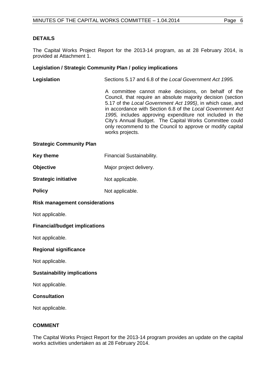## **DETAILS**

The Capital Works Project Report for the 2013-14 program, as at 28 February 2014, is provided at Attachment 1.

## **Legislation / Strategic Community Plan / policy implications**

| Legislation | Sections 5.17 and 6.8 of the Local Government Act 1995.                                                                                                                                                                                                                                                                                                                                                                                                 |
|-------------|---------------------------------------------------------------------------------------------------------------------------------------------------------------------------------------------------------------------------------------------------------------------------------------------------------------------------------------------------------------------------------------------------------------------------------------------------------|
|             | A committee cannot make decisions, on behalf of the<br>Council, that require an absolute majority decision (section<br>5.17 of the Local Government Act 1995), in which case, and<br>in accordance with Section 6.8 of the Local Government Act<br>1995, includes approving expenditure not included in the<br>City's Annual Budget. The Capital Works Committee could<br>only recommend to the Council to approve or modify capital<br>works projects. |
|             |                                                                                                                                                                                                                                                                                                                                                                                                                                                         |

#### **Strategic Community Plan**

| Key theme | <b>Financial Sustainability.</b> |
|-----------|----------------------------------|
|-----------|----------------------------------|

| Objective<br>Major project delivery. |
|--------------------------------------|
|--------------------------------------|

**Strategic initiative** Not applicable.

**Policy** Not applicable.

#### **Risk management considerations**

Not applicable.

## **Financial/budget implications**

Not applicable.

## **Regional significance**

Not applicable.

## **Sustainability implications**

Not applicable.

## **Consultation**

Not applicable.

## **COMMENT**

The Capital Works Project Report for the 2013-14 program provides an update on the capital works activities undertaken as at 28 February 2014.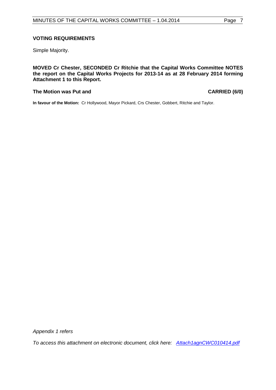## **VOTING REQUIREMENTS**

Simple Majority.

**MOVED Cr Chester, SECONDED Cr Ritchie that the Capital Works Committee NOTES the report on the Capital Works Projects for 2013-14 as at 28 February 2014 forming Attachment 1 to this Report.**

#### **The Motion was Put and CARRIED (6/0)**

**In favour of the Motion:** Cr Hollywood, Mayor Pickard, Crs Chester, Gobbert, Ritchie and Taylor.

*Appendix 1 refers*

*[To access this attachment on electronic document, click here: Attach1agnCWC010414.pdf](http://www.joondalup.wa.gov.au/files/committees/CWOC/2014/Attach1agnCWC010414.pdf)*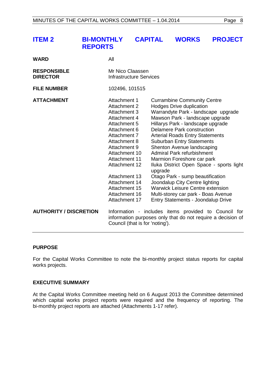<span id="page-7-0"></span>

| <b>ITEM 2</b> | BI-MONTHLY CAPITAL WORKS PROJECT |  |  |
|---------------|----------------------------------|--|--|
|               | <b>REPORTS</b>                   |  |  |

| WARD                                  | All                                                                                                                                                                                                                                                                                                |                                                                                                                                                                                                                                                                                                                                                                                                                                                                                                                                                                                                                                                        |
|---------------------------------------|----------------------------------------------------------------------------------------------------------------------------------------------------------------------------------------------------------------------------------------------------------------------------------------------------|--------------------------------------------------------------------------------------------------------------------------------------------------------------------------------------------------------------------------------------------------------------------------------------------------------------------------------------------------------------------------------------------------------------------------------------------------------------------------------------------------------------------------------------------------------------------------------------------------------------------------------------------------------|
| <b>RESPONSIBLE</b><br><b>DIRECTOR</b> | Mr Nico Claassen<br><b>Infrastructure Services</b>                                                                                                                                                                                                                                                 |                                                                                                                                                                                                                                                                                                                                                                                                                                                                                                                                                                                                                                                        |
| <b>FILE NUMBER</b>                    | 102496, 101515                                                                                                                                                                                                                                                                                     |                                                                                                                                                                                                                                                                                                                                                                                                                                                                                                                                                                                                                                                        |
| <b>ATTACHMENT</b>                     | Attachment 1<br><b>Attachment 2</b><br>Attachment 3<br>Attachment 4<br>Attachment 5<br>Attachment 6<br>Attachment 7<br>Attachment 8<br>Attachment 9<br>Attachment 10<br><b>Attachment 11</b><br>Attachment 12<br>Attachment 13<br>Attachment 14<br>Attachment 15<br>Attachment 16<br>Attachment 17 | <b>Currambine Community Centre</b><br><b>Hodges Drive duplication</b><br>Warrandyte Park - landscape upgrade<br>Mawson Park - landscape upgrade<br>Hillarys Park - landscape upgrade<br>Delamere Park construction<br><b>Arterial Roads Entry Statements</b><br><b>Suburban Entry Statements</b><br>Shenton Avenue landscaping<br><b>Admiral Park refurbishment</b><br>Marmion Foreshore car park<br>Iluka District Open Space - sports light<br>upgrade<br>Otago Park - sump beautification<br>Joondalup City Centre lighting<br><b>Warwick Leisure Centre extension</b><br>Multi-storey car park - Boas Avenue<br>Entry Statements - Joondalup Drive |
| <b>AUTHORITY / DISCRETION</b>         | Council (that is for 'noting').                                                                                                                                                                                                                                                                    | Information - includes items provided to Council<br>for<br>information purposes only that do not require a decision of                                                                                                                                                                                                                                                                                                                                                                                                                                                                                                                                 |

#### **PURPOSE**

For the Capital Works Committee to note the bi-monthly project status reports for capital works projects.

#### **EXECUTIVE SUMMARY**

At the Capital Works Committee meeting held on 6 August 2013 the Committee determined which capital works project reports were required and the frequency of reporting. The bi-monthly project reports are attached (Attachments 1-17 refer).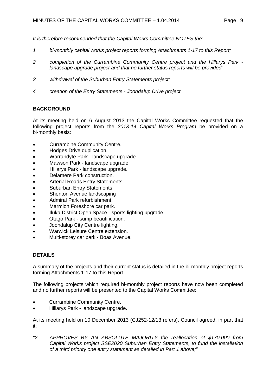*It is therefore recommended that the Capital Works Committee NOTES the:*

- *1 bi-monthly capital works project reports forming Attachments 1-17 to this Report;*
- *2 completion of the Currambine Community Centre project and the Hillarys Park landscape upgrade project and that no further status reports will be provided;*
- *3 withdrawal of the Suburban Entry Statements project;*
- *4 creation of the Entry Statements - Joondalup Drive project.*

## **BACKGROUND**

At its meeting held on 6 August 2013 the Capital Works Committee requested that the following project reports from the *2013-14 Capital Works Program* be provided on a bi-monthly basis:

- Currambine Community Centre.
- Hodges Drive duplication.
- Warrandyte Park landscape upgrade.
- Mawson Park landscape upgrade.
- Hillarys Park landscape upgrade.
- Delamere Park construction.
- Arterial Roads Entry Statements.
- Suburban Entry Statements.
- Shenton Avenue landscaping
- Admiral Park refurbishment.
- Marmion Foreshore car park.
- Iluka District Open Space sports lighting upgrade.
- Otago Park sump beautification.
- Joondalup City Centre lighting.
- Warwick Leisure Centre extension.
- Multi-storey car park Boas Avenue.

## **DETAILS**

A summary of the projects and their current status is detailed in the bi-monthly project reports forming Attachments 1-17 to this Report.

The following projects which required bi-monthly project reports have now been completed and no further reports will be presented to the Capital Works Committee:

- Currambine Community Centre.
- Hillarys Park landscape upgrade.

At its meeting held on 10 December 2013 (CJ252-12/13 refers), Council agreed, in part that it:

*"2 APPROVES BY AN ABSOLUTE MAJORITY the reallocation of \$170,000 from Capital Works project SSE2020 Suburban Entry Statements, to fund the installation of a third priority one entry statement as detailed in Part 1 above;"*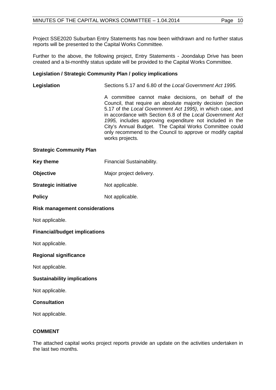Project SSE2020 Suburban Entry Statements has now been withdrawn and no further status reports will be presented to the Capital Works Committee.

Further to the above, the following project, Entry Statements - Joondalup Drive has been created and a bi-monthly status update will be provided to the Capital Works Committee.

## **Legislation / Strategic Community Plan / policy implications**

| Legislation                     | Sections 5.17 and 6.80 of the Local Government Act 1995.                                                                                                                                                                                                                                                                                                                                                                                                |
|---------------------------------|---------------------------------------------------------------------------------------------------------------------------------------------------------------------------------------------------------------------------------------------------------------------------------------------------------------------------------------------------------------------------------------------------------------------------------------------------------|
|                                 | A committee cannot make decisions, on behalf of the<br>Council, that require an absolute majority decision (section<br>5.17 of the Local Government Act 1995), in which case, and<br>in accordance with Section 6.8 of the Local Government Act<br>1995, includes approving expenditure not included in the<br>City's Annual Budget. The Capital Works Committee could<br>only recommend to the Council to approve or modify capital<br>works projects. |
| <b>Strategic Community Plan</b> |                                                                                                                                                                                                                                                                                                                                                                                                                                                         |

| <b>Key theme</b>            | Financial Sustainability. |  |
|-----------------------------|---------------------------|--|
| <b>Objective</b>            | Major project delivery.   |  |
| <b>Strategic initiative</b> | Not applicable.           |  |
| <b>Policy</b>               | Not applicable.           |  |

## **Risk management considerations**

Not applicable.

## **Financial/budget implications**

Not applicable.

## **Regional significance**

Not applicable.

## **Sustainability implications**

Not applicable.

## **Consultation**

Not applicable.

## **COMMENT**

The attached capital works project reports provide an update on the activities undertaken in the last two months.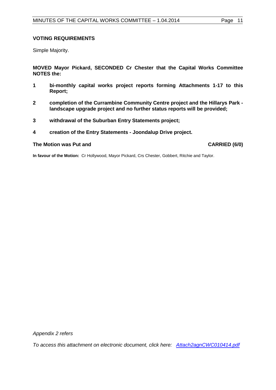## **VOTING REQUIREMENTS**

Simple Majority.

**MOVED Mayor Pickard, SECONDED Cr Chester that the Capital Works Committee NOTES the:**

- **1 bi-monthly capital works project reports forming Attachments 1-17 to this Report;**
- **2 completion of the Currambine Community Centre project and the Hillarys Park landscape upgrade project and no further status reports will be provided;**
- **3 withdrawal of the Suburban Entry Statements project;**
- **4 creation of the Entry Statements - Joondalup Drive project.**

#### **The Motion was Put and CARRIED (6/0)**

**In favour of the Motion:** Cr Hollywood, Mayor Pickard, Crs Chester, Gobbert, Ritchie and Taylor.

*Appendix 2 refers*

*[To access this attachment on electronic document, click here: Attach2agnCWC010414.pdf](http://www.joondalup.wa.gov.au/files/committees/CWOC/2014/Attach2agnCWC010414.pdf)*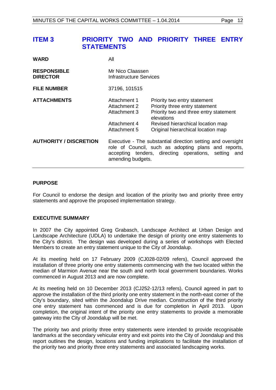## <span id="page-11-0"></span>**ITEM 3 PRIORITY TWO AND PRIORITY THREE ENTRY STATEMENTS**

| <b>WARD</b>                           | All                                                                                                                                                                                                 |                                                                                                                                                                                                   |
|---------------------------------------|-----------------------------------------------------------------------------------------------------------------------------------------------------------------------------------------------------|---------------------------------------------------------------------------------------------------------------------------------------------------------------------------------------------------|
| <b>RESPONSIBLE</b><br><b>DIRECTOR</b> | Mr Nico Claassen<br>Infrastructure Services                                                                                                                                                         |                                                                                                                                                                                                   |
| <b>FILE NUMBER</b>                    | 37196, 101515                                                                                                                                                                                       |                                                                                                                                                                                                   |
| <b>ATTACHMENTS</b>                    | Attachment 1<br>Attachment 2<br>Attachment 3<br>Attachment 4<br>Attachment 5                                                                                                                        | Priority two entry statement<br>Priority three entry statement<br>Priority two and three entry statement<br>elevations<br>Revised hierarchical location map<br>Original hierarchical location map |
| <b>AUTHORITY / DISCRETION</b>         | Executive - The substantial direction setting and oversight<br>role of Council, such as adopting plans and reports,<br>accepting tenders, directing operations, setting<br>and<br>amending budgets. |                                                                                                                                                                                                   |

## **PURPOSE**

For Council to endorse the design and location of the priority two and priority three entry statements and approve the proposed implementation strategy.

## **EXECUTIVE SUMMARY**

In 2007 the City appointed Greg Grabasch, Landscape Architect at Urban Design and Landscape Architecture (UDLA) to undertake the design of priority one entry statements to the City's district. The design was developed during a series of workshops with Elected Members to create an entry statement unique to the City of Joondalup.

At its meeting held on 17 February 2009 (CJ028-02/09 refers), Council approved the installation of three priority one entry statements commencing with the two located within the median of Marmion Avenue near the south and north local government boundaries. Works commenced in August 2013 and are now complete.

At its meeting held on 10 December 2013 (CJ252-12/13 refers), Council agreed in part to approve the installation of the third priority one entry statement in the north-east corner of the City's boundary, sited within the Joondalup Drive median. Construction of the third priority one entry statement has commenced and is due for completion in April 2013. Upon completion, the original intent of the priority one entry statements to provide a memorable gateway into the City of Joondalup will be met.

The priority two and priority three entry statements were intended to provide recognisable landmarks at the secondary vehicular entry and exit points into the City of Joondalup and this report outlines the design, locations and funding implications to facilitate the installation of the priority two and priority three entry statements and associated landscaping works.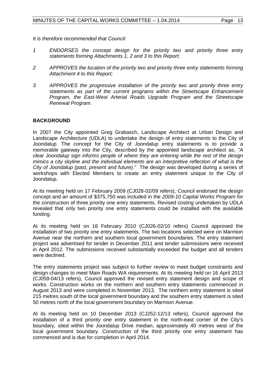*It is therefore recommended that Council:*

- *1 ENDORSES the concept design for the priority two and priority three entry statements forming Attachments 1, 2 and 3 to this Report;*
- *2 APPROVES the location of the priority two and priority three entry statements forming Attachment 4 to this Report;*
- *3 APPROVES the progressive installation of the priority two and priority three entry statements as part of the current programs within the Streetscape Enhancement Program, the East-West Arterial Roads Upgrade Program and the Streetscape Renewal Program.*

## **BACKGROUND**

In 2007 the City appointed Greg Grabasch, Landscape Architect at Urban Design and Landscape Architecture (UDLA) to undertake the design of entry statements to the City of Joondalup. The concept for the City of Joondalup entry statements is to provide a memorable gateway into the City, described by the appointed landscape architect as, *"A clear Joondalup sign informs people of where they are entering while the rest of the design mimics a city skyline and the individual elements are an interpretive reflection of what is the City of Joondalup (past, present and future)."* The design was developed during a series of workshops with Elected Members to create an entry statement unique to the City of Joondalup.

At its meeting held on 17 February 2009 (CJ028-02/09 refers), Council endorsed the design concept and an amount of \$375,750 was included in the *2009-10 Capital Works Program* for the construction of three priority one entry statements. Revised costing undertaken by UDLA revealed that only two priority one entry statements could be installed with the available funding.

At its meeting held on 16 February 2010 (CJ026-02/10 refers) Council approved the installation of two priority one entry statements. The two locations selected were on Marmion Avenue near the northern and southern local government boundaries. The entry statement project was advertised for tender in December 2011 and tender submissions were received in April 2012. The submissions received substantially exceeded the budget and all tenders were declined.

The entry statements project was subject to further review to meet budget constraints and design changes to meet Main Roads WA requirements. At its meeting held on 16 April 2013 (CJ059-04/13 refers), Council approved the revised entry statement design and scope of works. Construction works on the northern and southern entry statements commenced in August 2013 and were completed in November 2013. The northern entry statement is sited 215 metres south of the local government boundary and the southern entry statement is sited 50 metres north of the local government boundary on Marmion Avenue.

At its meeting held on 10 December 2013 (CJ252-12/13 refers), Council approved the installation of a third priority one entry statement in the north-east corner of the City's boundary, sited within the Joondalup Drive median, approximately 40 metres west of the local government boundary. Construction of the third priority one entry statement has commenced and is due for completion in April 2014.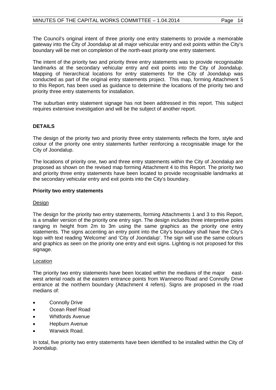The Council's original intent of three priority one entry statements to provide a memorable gateway into the City of Joondalup at all major vehicular entry and exit points within the City's boundary will be met on completion of the north-east priority one entry statement.

The intent of the priority two and priority three entry statements was to provide recognisable landmarks at the secondary vehicular entry and exit points into the City of Joondalup. Mapping of hierarchical locations for entry statements for the City of Joondalup was conducted as part of the original entry statements project. This map, forming Attachment 5 to this Report, has been used as guidance to determine the locations of the priority two and priority three entry statements for installation.

The suburban entry statement signage has not been addressed in this report. This subject requires extensive investigation and will be the subject of another report.

## **DETAILS**

The design of the priority two and priority three entry statements reflects the form, style and colour of the priority one entry statements further reinforcing a recognisable image for the City of Joondalup.

The locations of priority one, two and three entry statements within the City of Joondalup are proposed as shown on the revised map forming Attachment 4 to this Report. The priority two and priority three entry statements have been located to provide recognisable landmarks at the secondary vehicular entry and exit points into the City's boundary.

## **Priority two entry statements**

## Design

The design for the priority two entry statements, forming Attachments 1 and 3 to this Report, is a smaller version of the priority one entry sign. The design includes three interpretive poles ranging in height from 2m to 3m using the same graphics as the priority one entry statements. The signs accenting an entry point into the City's boundary shall have the City's logo with text reading 'Welcome' and 'City of Joondalup'. The sign will use the same colours and graphics as seen on the priority one entry and exit signs. Lighting is not proposed for this signage.

## Location

The priority two entry statements have been located within the medians of the major eastwest arterial roads at the eastern entrance points from Wanneroo Road and Connolly Drive entrance at the northern boundary (Attachment 4 refers). Signs are proposed in the road medians of:

- Connolly Drive
- Ocean Reef Road
- Whitfords Avenue
- Hepburn Avenue
- Warwick Road.

In total, five priority two entry statements have been identified to be installed within the City of Joondalup.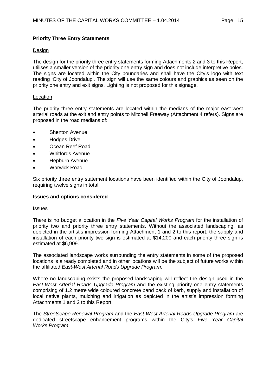## **Priority Three Entry Statements**

## Design

The design for the priority three entry statements forming Attachments 2 and 3 to this Report, utilises a smaller version of the priority one entry sign and does not include interpretive poles. The signs are located within the City boundaries and shall have the City's logo with text reading 'City of Joondalup'. The sign will use the same colours and graphics as seen on the priority one entry and exit signs. Lighting is not proposed for this signage.

## **Location**

The priority three entry statements are located within the medians of the major east-west arterial roads at the exit and entry points to Mitchell Freeway (Attachment 4 refers). Signs are proposed in the road medians of:

- Shenton Avenue
- Hodges Drive
- Ocean Reef Road
- Whitfords Avenue
- Hepburn Avenue
- Warwick Road.

Six priority three entry statement locations have been identified within the City of Joondalup, requiring twelve signs in total.

## **Issues and options considered**

## **Issues**

There is no budget allocation in the *Five Year Capital Works Program* for the installation of priority two and priority three entry statements. Without the associated landscaping, as depicted in the artist's impression forming Attachment 1 and 2 to this report, the supply and installation of each priority two sign is estimated at \$14,200 and each priority three sign is estimated at \$6,909.

The associated landscape works surrounding the entry statements in some of the proposed locations is already completed and in other locations will be the subject of future works within the affiliated *East-West Arterial Roads Upgrade Program*.

Where no landscaping exists the proposed landscaping will reflect the design used in the *East-West Arterial Roads Upgrade Program* and the existing priority one entry statements comprising of 1.2 metre wide coloured concrete band back of kerb, supply and installation of local native plants, mulching and irrigation as depicted in the artist's impression forming Attachments 1 and 2 to this Report.

The *Streetscape Renewal Program* and the *East-West Arterial Roads Upgrade Program* are dedicated streetscape enhancement programs within the City's *Five Year Capital Works Program*.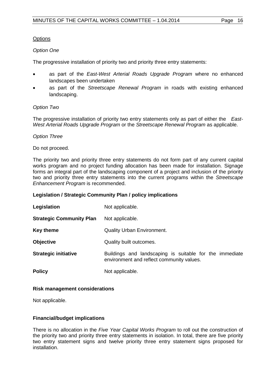## **Options**

## *Option One*

The progressive installation of priority two and priority three entry statements:

- as part of the *East-West Arterial Roads Upgrade Program* where no enhanced landscapes been undertaken
- as part of the *Streetscape Renewal Program* in roads with existing enhanced landscaping.

## *Option Two*

The progressive installation of priority two entry statements only as part of either the *East-West Arterial Roads Upgrade Program* or the *Streetscape Renewal Program* as applicable.

#### *Option Three*

Do not proceed.

The priority two and priority three entry statements do not form part of any current capital works program and no project funding allocation has been made for installation. Signage forms an integral part of the landscaping component of a project and inclusion of the priority two and priority three entry statements into the current programs within the *Streetscape Enhancement Program* is recommended.

## **Legislation / Strategic Community Plan / policy implications**

| Legislation                     | Not applicable.                                                                                      |
|---------------------------------|------------------------------------------------------------------------------------------------------|
| <b>Strategic Community Plan</b> | Not applicable.                                                                                      |
| Key theme                       | <b>Quality Urban Environment.</b>                                                                    |
| <b>Objective</b>                | Quality built outcomes.                                                                              |
| <b>Strategic initiative</b>     | Buildings and landscaping is suitable for the immediate<br>environment and reflect community values. |
| <b>Policy</b>                   | Not applicable.                                                                                      |

#### **Risk management considerations**

Not applicable.

## **Financial/budget implications**

There is no allocation in the *Five Year Capital Works Program* to roll out the construction of the priority two and priority three entry statements in isolation. In total, there are five priority two entry statement signs and twelve priority three entry statement signs proposed for installation.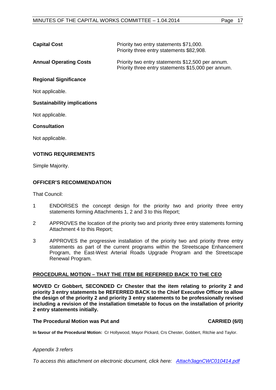| <b>Capital Cost</b> | Priority two entry statements \$71,000.   |
|---------------------|-------------------------------------------|
|                     | Priority three entry statements \$82,908. |

**Annual Operating Costs** Priority two entry statements \$12,500 per annum. Priority three entry statements \$15,000 per annum.

**Regional Significance**

Not applicable.

## **Sustainability implications**

Not applicable.

**Consultation**

Not applicable.

## **VOTING REQUIREMENTS**

Simple Majority.

## **OFFICER'S RECOMMENDATION**

That Council:

- 1 ENDORSES the concept design for the priority two and priority three entry statements forming Attachments 1, 2 and 3 to this Report;
- 2 APPROVES the location of the priority two and priority three entry statements forming Attachment 4 to this Report;
- 3 APPROVES the progressive installation of the priority two and priority three entry statements as part of the current programs within the Streetscape Enhancement Program, the East-West Arterial Roads Upgrade Program and the Streetscape Renewal Program.

## **PROCEDURAL MOTION – THAT THE ITEM BE REFERRED BACK TO THE CEO**

**MOVED Cr Gobbert, SECONDED Cr Chester that the item relating to priority 2 and priority 3 entry statements be REFERRED BACK to the Chief Executive Officer to allow the design of the priority 2 and priority 3 entry statements to be professionally revised including a revision of the installation timetable to focus on the installation of priority 2 entry statements initially.**

#### **The Procedural Motion was Put and CARRIED (6/0)**

**In favour of the Procedural Motion:** Cr Hollywood, Mayor Pickard, Crs Chester, Gobbert, Ritchie and Taylor.

#### *Appendix 3 refers*

*[To access this attachment on electronic document, click here: Attach3agnCWC010414.pdf](http://www.joondalup.wa.gov.au/files/committees/CWOC/2014/Attach3agnCWC010414.pdf)*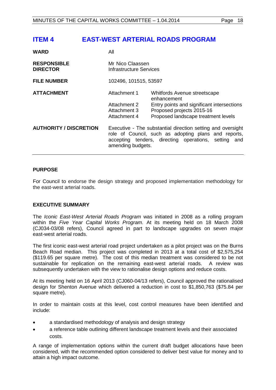## <span id="page-17-0"></span>**ITEM 4 EAST-WEST ARTERIAL ROADS PROGRAM**

| <b>WARD</b>                           | All                                                                                                                                                                                              |                                                                                                                                                               |
|---------------------------------------|--------------------------------------------------------------------------------------------------------------------------------------------------------------------------------------------------|---------------------------------------------------------------------------------------------------------------------------------------------------------------|
| <b>RESPONSIBLE</b><br><b>DIRECTOR</b> | Mr Nico Claassen<br>Infrastructure Services                                                                                                                                                      |                                                                                                                                                               |
| <b>FILE NUMBER</b>                    | 102496, 101515, 53597                                                                                                                                                                            |                                                                                                                                                               |
| <b>ATTACHMENT</b>                     | Attachment 1<br>Attachment 2<br>Attachment 3<br>Attachment 4                                                                                                                                     | Whitfords Avenue streetscape<br>enhancement<br>Entry points and significant intersections<br>Proposed projects 2015-16<br>Proposed landscape treatment levels |
| <b>AUTHORITY / DISCRETION</b>         | Executive - The substantial direction setting and oversight<br>role of Council, such as adopting plans and reports,<br>accepting tenders, directing operations, setting and<br>amending budgets. |                                                                                                                                                               |

## **PURPOSE**

For Council to endorse the design strategy and proposed implementation methodology for the east-west arterial roads.

#### **EXECUTIVE SUMMARY**

The *Iconic East-West Arterial Roads Program* was initiated in 2008 as a rolling program within the *Five Year Capital Works Program.* At its meeting held on 18 March 2008 (CJ034-03/08 refers), Council agreed in part to landscape upgrades on seven major east-west arterial roads.

The first iconic east-west arterial road project undertaken as a pilot project was on the Burns Beach Road median. This project was completed in 2013 at a total cost of \$2,575,254 (\$119.65 per square metre). The cost of this median treatment was considered to be not sustainable for replication on the remaining east-west arterial roads. A review was subsequently undertaken with the view to rationalise design options and reduce costs.

At its meeting held on 16 April 2013 (CJ060-04/13 refers), Council approved the rationalised design for Shenton Avenue which delivered a reduction in cost to \$1,850,763 (\$75.84 per square metre).

In order to maintain costs at this level, cost control measures have been identified and include:

- a standardised methodology of analysis and design strategy
- a reference table outlining different landscape treatment levels and their associated costs.

A range of implementation options within the current draft budget allocations have been considered, with the recommended option considered to deliver best value for money and to attain a high impact outcome.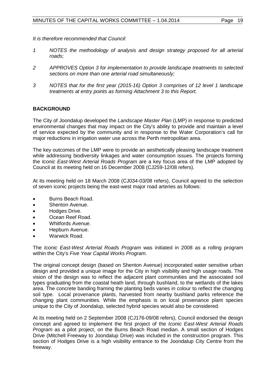*It is therefore recommended that Council:*

- *1 NOTES the methodology of analysis and design strategy proposed for all arterial roads;*
- *2 APPROVES Option 3 for implementation to provide landscape treatments to selected sections on more than one arterial road simultaneously;*
- *3 NOTES that for the first year (2015-16) Option 3 comprises of 12 level 1 landscape treatments at entry points as forming Attachment 3 to this Report.*

## **BACKGROUND**

The City of Joondalup developed the *Landscape Master Plan* (LMP) in response to predicted environmental changes that may impact on the City's ability to provide and maintain a level of service expected by the community and in response to the Water Corporation's call for major reductions in irrigation water use across the Perth metropolitan area.

The key outcomes of the LMP were to provide an aesthetically pleasing landscape treatment while addressing biodiversity linkages and water consumption issues. The projects forming the *Iconic East-West Arterial Roads Program* are a key focus area of the LMP adopted by Council at its meeting held on 16 December 2008 (CJ259-12/08 refers).

At its meeting held on 18 March 2008 (CJ034-03/08 refers), Council agreed to the selection of seven iconic projects being the east-west major road arteries as follows:

- Burns Beach Road.
- Shenton Avenue.
- Hodges Drive.
- Ocean Reef Road.
- Whitfords Avenue.
- Hepburn Avenue.
- Warwick Road.

The *Iconic East-West Arterial Roads Program* was initiated in 2008 as a rolling program within the City's *Five Year Capital Works Program.*

The original concept design (based on Shenton Avenue) incorporated water sensitive urban design and provided a unique image for the City in high visibility and high usage roads. The vision of the design was to reflect the adjacent plant communities and the associated soil types graduating from the coastal heath land, through bushland, to the wetlands of the lakes area. The concrete banding framing the planting beds varies in colour to reflect the changing soil type. Local provenance plants, harvested from nearby bushland parks reference the changing plant communities. While the emphasis is on local provenance plant species unique to the City of Joondalup, selected hybrid species would also be considered.

At its meeting held on 2 September 2008 (CJ176-09/08 refers), Council endorsed the design concept and agreed to implement the first project of the *Iconic East-West Arterial Roads Program* as a pilot project, on the Burns Beach Road median. A small section of Hodges Drive (Mitchell Freeway to Joondalup Drive) was included in the construction program. This section of Hodges Drive is a high visibility entrance to the Joondalup City Centre from the freeway.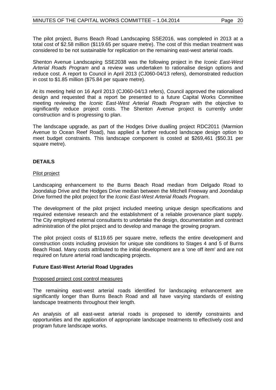The pilot project, Burns Beach Road Landscaping SSE2016, was completed in 2013 at a total cost of \$2.58 million (\$119.65 per square metre). The cost of this median treatment was considered to be not sustainable for replication on the remaining east-west arterial roads.

Shenton Avenue Landscaping SSE2038 was the following project in the *Iconic East-West Arterial Roads Program* and a review was undertaken to rationalise design options and reduce cost. A report to Council in April 2013 (CJ060-04/13 refers), demonstrated reduction in cost to \$1.85 million (\$75.84 per square metre).

At its meeting held on 16 April 2013 (CJ060-04/13 refers), Council approved the rationalised design and requested that a report be presented to a future Capital Works Committee meeting reviewing the *Iconic East-West Arterial Roads Program* with the objective to significantly reduce project costs. The Shenton Avenue project is currently under construction and is progressing to plan.

The landscape upgrade, as part of the Hodges Drive dualling project RDC2011 (Marmion Avenue to Ocean Reef Road), has applied a further reduced landscape design option to meet budget constraints. This landscape component is costed at \$269,461 (\$50.31 per square metre).

## **DETAILS**

#### Pilot project

Landscaping enhancement to the Burns Beach Road median from Delgado Road to Joondalup Drive and the Hodges Drive median between the Mitchell Freeway and Joondalup Drive formed the pilot project for the *Iconic East-West Arterial Roads Program*.

The development of the pilot project included meeting unique design specifications and required extensive research and the establishment of a reliable provenance plant supply. The City employed external consultants to undertake the design, documentation and contract administration of the pilot project and to develop and manage the growing program.

The pilot project costs of \$119.65 per square metre, reflects the entire development and construction costs including provision for unique site conditions to Stages 4 and 5 of Burns Beach Road. Many costs attributed to the initial development are a 'one off item' and are not required on future arterial road landscaping projects.

#### **Future East-West Arterial Road Upgrades**

#### Proposed project cost control measures

The remaining east-west arterial roads identified for landscaping enhancement are significantly longer than Burns Beach Road and all have varying standards of existing landscape treatments throughout their length.

An analysis of all east-west arterial roads is proposed to identify constraints and opportunities and the application of appropriate landscape treatments to effectively cost and program future landscape works.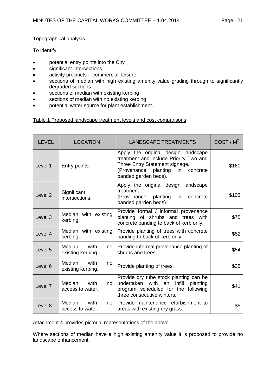## Topographical analysis

To identify:

- potential entry points into the City
- significant intersections
- activity precincts commercial, leisure
- sections of median with high existing amenity value grading through to significantly degraded sections
- sections of median with existing kerbing
- sections of median with no existing kerbing
- potential water source for plant establishment.

## Table 1 Proposed landscape treatment levels and cost comparisons

| <b>LEVEL</b>       | <b>LOCATION</b>                           | <b>LANDSCAPE TREATMENTS</b>                                                                                                                                                 | COST/M <sup>2</sup> |
|--------------------|-------------------------------------------|-----------------------------------------------------------------------------------------------------------------------------------------------------------------------------|---------------------|
| Level 1            | Entry points.                             | Apply the original design landscape<br>treatment and include Priority Two and<br>Three Entry Statement signage.<br>(Provenance planting in concrete<br>banded garden beds). | \$160               |
| Level <sub>2</sub> | Significant<br>intersections.             | Apply the original design landscape<br>treatment.<br>in<br>(Provenance planting<br>concrete<br>banded garden beds).                                                         | \$103               |
| Level <sub>3</sub> | Median with existing<br>kerbing.          | Provide formal / informal provenance<br>planting of shrubs and trees with<br>concrete banding to back of kerb only.                                                         | \$75                |
| Level 4            | Median with existing<br>kerbing.          | Provide planting of trees with concrete<br>banding to back of kerb only.                                                                                                    | \$52                |
| Level 5            | Median<br>with<br>no<br>existing kerbing. | Provide informal provenance planting of<br>shrubs and trees.                                                                                                                | \$54                |
| Level 6            | Median<br>with<br>no<br>existing kerbing. | Provide planting of trees.                                                                                                                                                  | \$35                |
| Level <sub>7</sub> | Median with<br>no<br>access to water.     | Provide dry tube stock planting can be<br>undertaken<br>with<br>infill<br>an<br>planting<br>program scheduled for the following<br>three consecutive winters.               | \$41                |
| Level 8            | Median<br>with<br>no<br>access to water.  | Provide maintenance refurbishment to<br>areas with existing dry grass.                                                                                                      | \$5                 |

Attachment 4 provides pictorial representations of the above.

Where sections of median have a high existing amenity value it is proposed to provide no landscape enhancement.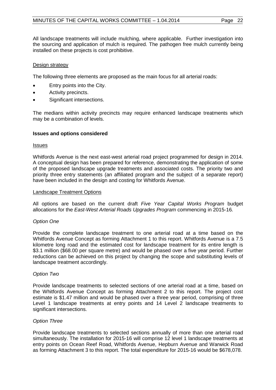All landscape treatments will include mulching, where applicable. Further investigation into the sourcing and application of mulch is required. The pathogen free mulch currently being installed on these projects is cost prohibitive.

#### Design strategy

The following three elements are proposed as the main focus for all arterial roads:

- Entry points into the City.
- Activity precincts.
- Significant intersections.

The medians within activity precincts may require enhanced landscape treatments which may be a combination of levels.

#### **Issues and options considered**

#### **Issues**

Whitfords Avenue is the next east-west arterial road project programmed for design in 2014. A conceptual design has been prepared for reference, demonstrating the application of some of the proposed landscape upgrade treatments and associated costs. The priority two and priority three entry statements (an affiliated program and the subject of a separate report) have been included in the design and costing for Whitfords Avenue.

#### Landscape Treatment Options

All options are based on the current draft *Five Year Capital Works Program* budget allocations for the *East-West Arterial Roads Upgrades Program* commencing in 2015-16.

## *Option One*

Provide the complete landscape treatment to one arterial road at a time based on the Whitfords Avenue Concept as forming Attachment 1 to this report. Whitfords Avenue is a 7.5 kilometre long road and the estimated cost for landscape treatment for its entire length is \$3.1 million (\$68.00 per square metre) and would be phased over a five year period. Further reductions can be achieved on this project by changing the scope and substituting levels of landscape treatment accordingly.

#### *Option Two*

Provide landscape treatments to selected sections of one arterial road at a time, based on the Whitfords Avenue Concept as forming Attachment 2 to this report. The project cost estimate is \$1.47 million and would be phased over a three year period, comprising of three Level 1 landscape treatments at entry points and 14 Level 2 landscape treatments to significant intersections.

#### *Option Three*

Provide landscape treatments to selected sections annually of more than one arterial road simultaneously. The installation for 2015-16 will comprise 12 level 1 landscape treatments at entry points on Ocean Reef Road, Whitfords Avenue, Hepburn Avenue and Warwick Road as forming Attachment 3 to this report. The total expenditure for 2015-16 would be \$678,078.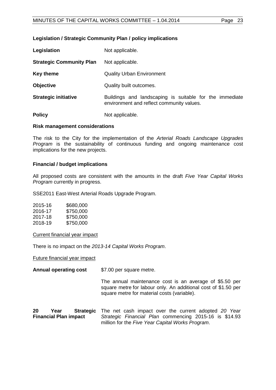## **Legislation / Strategic Community Plan / policy implications**

| Legislation                     | Not applicable.                                                                                      |
|---------------------------------|------------------------------------------------------------------------------------------------------|
| <b>Strategic Community Plan</b> | Not applicable.                                                                                      |
| <b>Key theme</b>                | <b>Quality Urban Environment</b>                                                                     |
| <b>Objective</b>                | Quality built outcomes.                                                                              |
| <b>Strategic initiative</b>     | Buildings and landscaping is suitable for the immediate<br>environment and reflect community values. |
| <b>Policy</b>                   | Not applicable.                                                                                      |

#### **Risk management considerations**

The risk to the City for the implementation of the *Arterial Roads Landscape Upgrades Program* is the sustainability of continuous funding and ongoing maintenance cost implications for the new projects.

#### **Financial / budget implications**

All proposed costs are consistent with the amounts in the draft *Five Year Capital Works Program* currently in progress.

SSE2011 East-West Arterial Roads Upgrade Program.

| \$680,000 |
|-----------|
| \$750,000 |
| \$750,000 |
| \$750,000 |
|           |

Current financial year impact

There is no impact on the *2013-14 Capital Works Program*.

Future financial year impact

**Annual operating cost** \$7.00 per square metre.

The annual maintenance cost is an average of \$5.50 per square metre for labour only. An additional cost of \$1.50 per square metre for material costs (variable).

**20 Year Strategic**  The net cash impact over the current adopted *20 Year*  **Financial Plan impact**  *Strategic Financial Plan* commencing 2015-16 is \$14.93 million for the *Five Year Capital Works Program*.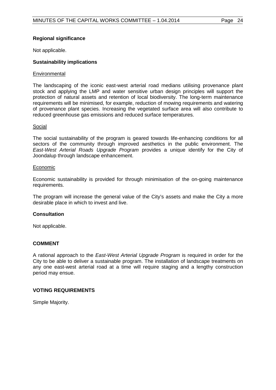## **Regional significance**

Not applicable.

## **Sustainability implications**

## **Environmental**

The landscaping of the iconic east-west arterial road medians utilising provenance plant stock and applying the LMP and water sensitive urban design principles will support the protection of natural assets and retention of local biodiversity. The long-term maintenance requirements will be minimised, for example, reduction of mowing requirements and watering of provenance plant species. Increasing the vegetated surface area will also contribute to reduced greenhouse gas emissions and reduced surface temperatures.

#### Social

The social sustainability of the program is geared towards life-enhancing conditions for all sectors of the community through improved aesthetics in the public environment. The *East-West Arterial Roads Upgrade Program* provides a unique identify for the City of Joondalup through landscape enhancement.

#### Economic

Economic sustainability is provided for through minimisation of the on-going maintenance requirements.

The program will increase the general value of the City's assets and make the City a more desirable place in which to invest and live.

## **Consultation**

Not applicable.

## **COMMENT**

A rational approach to the *East-West Arterial Upgrade Program* is required in order for the City to be able to deliver a sustainable program. The installation of landscape treatments on any one east-west arterial road at a time will require staging and a lengthy construction period may ensue.

## **VOTING REQUIREMENTS**

Simple Majority.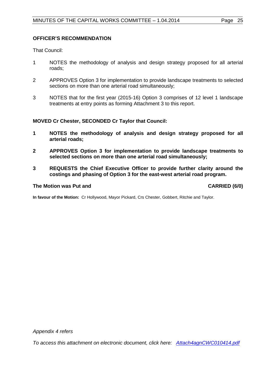## **OFFICER'S RECOMMENDATION**

That Council:

- 1 NOTES the methodology of analysis and design strategy proposed for all arterial roads;
- 2 APPROVES Option 3 for implementation to provide landscape treatments to selected sections on more than one arterial road simultaneously;
- 3 NOTES that for the first year (2015-16) Option 3 comprises of 12 level 1 landscape treatments at entry points as forming Attachment 3 to this report.

## **MOVED Cr Chester, SECONDED Cr Taylor that Council:**

- **1 NOTES the methodology of analysis and design strategy proposed for all arterial roads;**
- **2 APPROVES Option 3 for implementation to provide landscape treatments to selected sections on more than one arterial road simultaneously;**
- **3 REQUESTS the Chief Executive Officer to provide further clarity around the costings and phasing of Option 3 for the east-west arterial road program.**

## **The Motion was Put and CARRIED (6/0)**

**In favour of the Motion:** Cr Hollywood, Mayor Pickard, Crs Chester, Gobbert, Ritchie and Taylor.

*Appendix 4 refers*

*[To access this attachment on electronic document, click here: Attach4agnCWC010414.pdf](http://www.joondalup.wa.gov.au/files/committees/CWOC/2014/Attach4agnCWC010414.pdf)*